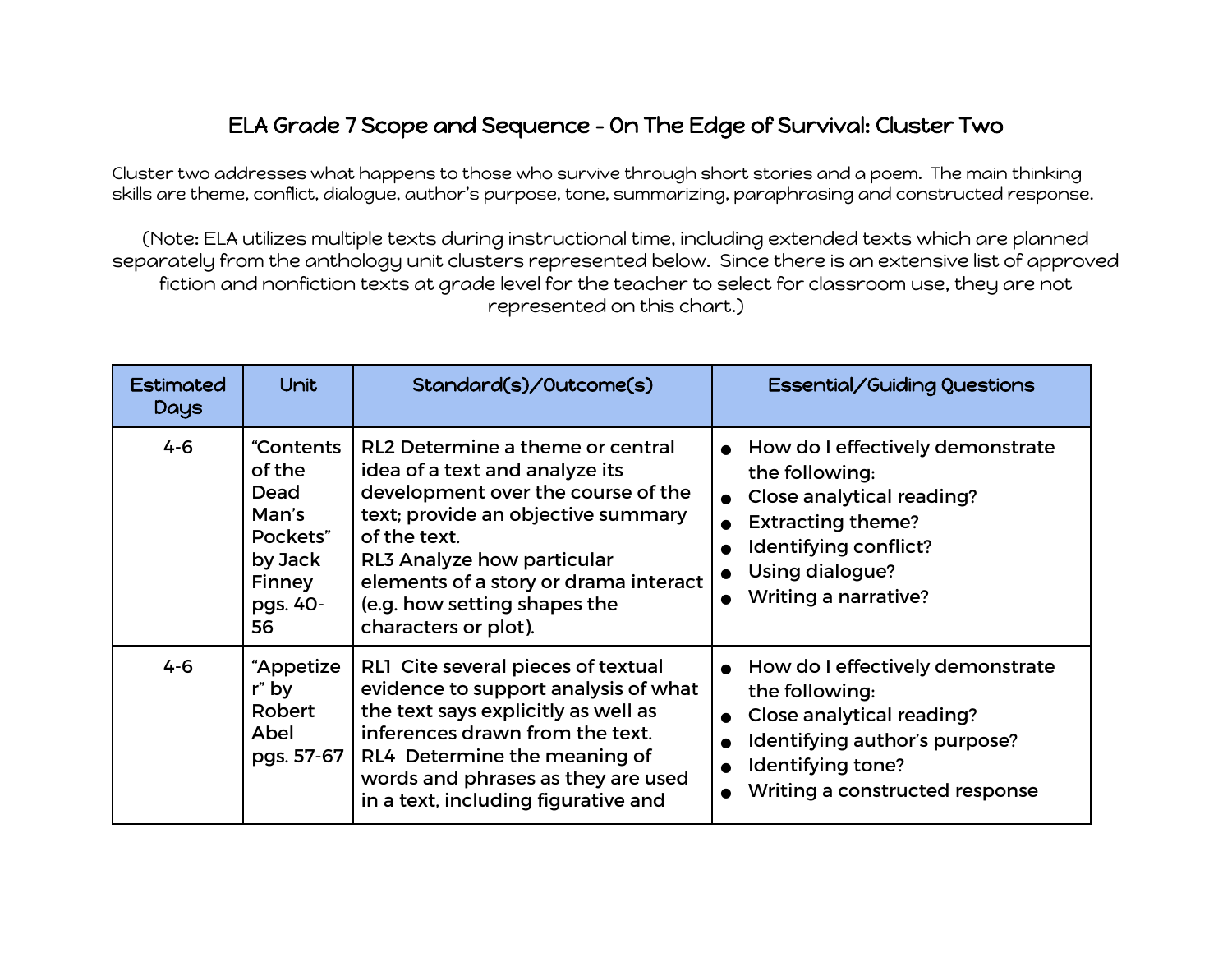## ELA Grade 7 Scope and Sequence - On The Edge of Survival: Cluster Two

Cluster two addresses what happens to those who survive through short stories and a poem. The main thinking skills are theme, conflict, dialogue, author's purpose, tone, summarizing, paraphrasing and constructed response.

(Note: ELA utilizes multiple texts during instructional time, including extended texts which are planned separately from the anthology unit clusters represented below. Since there is an extensive list of approved fiction and nonfiction texts at grade level for the teacher to select for classroom use, they are not represented on this chart.)

| <b>Estimated</b><br>Days | Unit                                                                                    | Standard(s)/Outcome(s)                                                                                                                                                                                                                                                                        | Essential/Guiding Questions                                                                                                                                                     |
|--------------------------|-----------------------------------------------------------------------------------------|-----------------------------------------------------------------------------------------------------------------------------------------------------------------------------------------------------------------------------------------------------------------------------------------------|---------------------------------------------------------------------------------------------------------------------------------------------------------------------------------|
| $4 - 6$                  | "Contents<br>of the<br>Dead<br>Man's<br>Pockets"<br>by Jack<br>Finney<br>pgs. 40-<br>56 | RL2 Determine a theme or central<br>idea of a text and analyze its<br>development over the course of the<br>text; provide an objective summary<br>of the text.<br>RL3 Analyze how particular<br>elements of a story or drama interact<br>(e.g. how setting shapes the<br>characters or plot). | How do I effectively demonstrate<br>the following:<br>Close analytical reading?<br><b>Extracting theme?</b><br>Identifying conflict?<br>Using dialogue?<br>Writing a narrative? |
| $4 - 6$                  | "Appetize<br>r" by<br>Robert<br>Abel<br>pgs. 57-67                                      | RL1 Cite several pieces of textual<br>evidence to support analysis of what<br>the text says explicitly as well as<br>inferences drawn from the text.<br>RL4 Determine the meaning of<br>words and phrases as they are used<br>in a text, including figurative and                             | How do I effectively demonstrate<br>the following:<br>Close analytical reading?<br>Identifying author's purpose?<br>Identifying tone?<br>Writing a constructed response         |